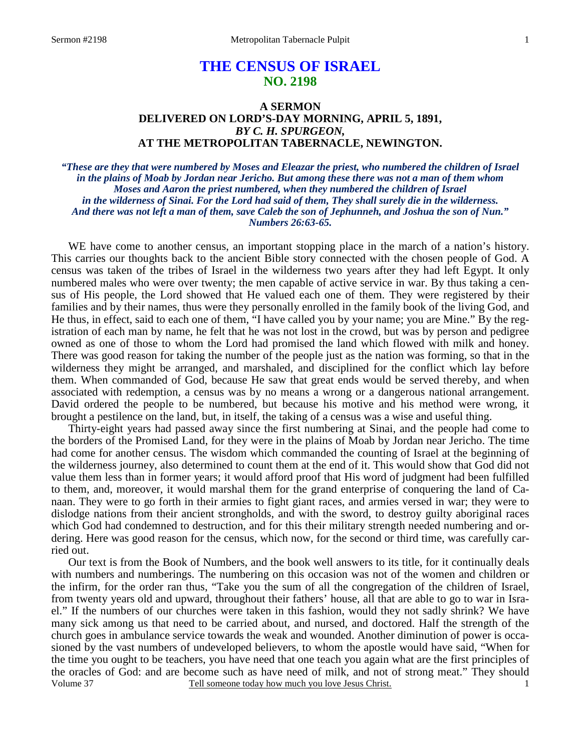# **THE CENSUS OF ISRAEL NO. 2198**

## **A SERMON DELIVERED ON LORD'S-DAY MORNING, APRIL 5, 1891,**  *BY C. H. SPURGEON,*  **AT THE METROPOLITAN TABERNACLE, NEWINGTON.**

*"These are they that were numbered by Moses and Eleazar the priest, who numbered the children of Israel in the plains of Moab by Jordan near Jericho. But among these there was not a man of them whom Moses and Aaron the priest numbered, when they numbered the children of Israel in the wilderness of Sinai. For the Lord had said of them, They shall surely die in the wilderness. And there was not left a man of them, save Caleb the son of Jephunneh, and Joshua the son of Nun." Numbers 26:63-65.* 

WE have come to another census, an important stopping place in the march of a nation's history. This carries our thoughts back to the ancient Bible story connected with the chosen people of God. A census was taken of the tribes of Israel in the wilderness two years after they had left Egypt. It only numbered males who were over twenty; the men capable of active service in war. By thus taking a census of His people, the Lord showed that He valued each one of them. They were registered by their families and by their names, thus were they personally enrolled in the family book of the living God, and He thus, in effect, said to each one of them, "I have called you by your name; you are Mine." By the registration of each man by name, he felt that he was not lost in the crowd, but was by person and pedigree owned as one of those to whom the Lord had promised the land which flowed with milk and honey. There was good reason for taking the number of the people just as the nation was forming, so that in the wilderness they might be arranged, and marshaled, and disciplined for the conflict which lay before them. When commanded of God, because He saw that great ends would be served thereby, and when associated with redemption, a census was by no means a wrong or a dangerous national arrangement. David ordered the people to be numbered, but because his motive and his method were wrong, it brought a pestilence on the land, but, in itself, the taking of a census was a wise and useful thing.

 Thirty-eight years had passed away since the first numbering at Sinai, and the people had come to the borders of the Promised Land, for they were in the plains of Moab by Jordan near Jericho. The time had come for another census. The wisdom which commanded the counting of Israel at the beginning of the wilderness journey, also determined to count them at the end of it. This would show that God did not value them less than in former years; it would afford proof that His word of judgment had been fulfilled to them, and, moreover, it would marshal them for the grand enterprise of conquering the land of Canaan. They were to go forth in their armies to fight giant races, and armies versed in war; they were to dislodge nations from their ancient strongholds, and with the sword, to destroy guilty aboriginal races which God had condemned to destruction, and for this their military strength needed numbering and ordering. Here was good reason for the census, which now, for the second or third time, was carefully carried out.

Volume 37 Tell someone today how much you love Jesus Christ. Our text is from the Book of Numbers, and the book well answers to its title, for it continually deals with numbers and numberings. The numbering on this occasion was not of the women and children or the infirm, for the order ran thus, "Take you the sum of all the congregation of the children of Israel, from twenty years old and upward, throughout their fathers' house, all that are able to go to war in Israel." If the numbers of our churches were taken in this fashion, would they not sadly shrink? We have many sick among us that need to be carried about, and nursed, and doctored. Half the strength of the church goes in ambulance service towards the weak and wounded. Another diminution of power is occasioned by the vast numbers of undeveloped believers, to whom the apostle would have said, "When for the time you ought to be teachers, you have need that one teach you again what are the first principles of the oracles of God: and are become such as have need of milk, and not of strong meat." They should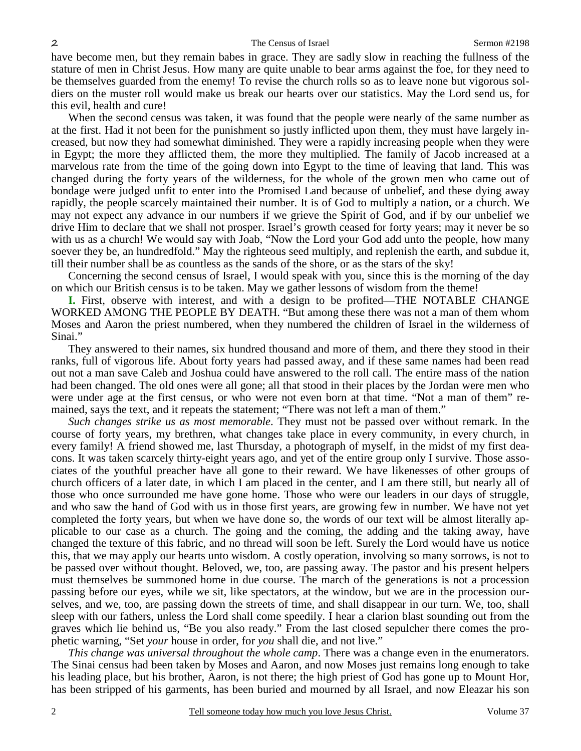have become men, but they remain babes in grace. They are sadly slow in reaching the fullness of the stature of men in Christ Jesus. How many are quite unable to bear arms against the foe, for they need to be themselves guarded from the enemy! To revise the church rolls so as to leave none but vigorous soldiers on the muster roll would make us break our hearts over our statistics. May the Lord send us, for this evil, health and cure!

When the second census was taken, it was found that the people were nearly of the same number as at the first. Had it not been for the punishment so justly inflicted upon them, they must have largely increased, but now they had somewhat diminished. They were a rapidly increasing people when they were in Egypt; the more they afflicted them, the more they multiplied. The family of Jacob increased at a marvelous rate from the time of the going down into Egypt to the time of leaving that land. This was changed during the forty years of the wilderness, for the whole of the grown men who came out of bondage were judged unfit to enter into the Promised Land because of unbelief, and these dying away rapidly, the people scarcely maintained their number. It is of God to multiply a nation, or a church. We may not expect any advance in our numbers if we grieve the Spirit of God, and if by our unbelief we drive Him to declare that we shall not prosper. Israel's growth ceased for forty years; may it never be so with us as a church! We would say with Joab, "Now the Lord your God add unto the people, how many soever they be, an hundredfold." May the righteous seed multiply, and replenish the earth, and subdue it, till their number shall be as countless as the sands of the shore, or as the stars of the sky!

 Concerning the second census of Israel, I would speak with you, since this is the morning of the day on which our British census is to be taken. May we gather lessons of wisdom from the theme!

**I.** First, observe with interest, and with a design to be profited—THE NOTABLE CHANGE WORKED AMONG THE PEOPLE BY DEATH. "But among these there was not a man of them whom Moses and Aaron the priest numbered, when they numbered the children of Israel in the wilderness of Sinai."

 They answered to their names, six hundred thousand and more of them, and there they stood in their ranks, full of vigorous life. About forty years had passed away, and if these same names had been read out not a man save Caleb and Joshua could have answered to the roll call. The entire mass of the nation had been changed. The old ones were all gone; all that stood in their places by the Jordan were men who were under age at the first census, or who were not even born at that time. "Not a man of them" remained, says the text, and it repeats the statement; "There was not left a man of them."

*Such changes strike us as most memorable*. They must not be passed over without remark. In the course of forty years, my brethren, what changes take place in every community, in every church, in every family! A friend showed me, last Thursday, a photograph of myself, in the midst of my first deacons. It was taken scarcely thirty-eight years ago, and yet of the entire group only I survive. Those associates of the youthful preacher have all gone to their reward. We have likenesses of other groups of church officers of a later date, in which I am placed in the center, and I am there still, but nearly all of those who once surrounded me have gone home. Those who were our leaders in our days of struggle, and who saw the hand of God with us in those first years, are growing few in number. We have not yet completed the forty years, but when we have done so, the words of our text will be almost literally applicable to our case as a church. The going and the coming, the adding and the taking away, have changed the texture of this fabric, and no thread will soon be left. Surely the Lord would have us notice this, that we may apply our hearts unto wisdom. A costly operation, involving so many sorrows, is not to be passed over without thought. Beloved, we, too, are passing away. The pastor and his present helpers must themselves be summoned home in due course. The march of the generations is not a procession passing before our eyes, while we sit, like spectators, at the window, but we are in the procession ourselves, and we, too, are passing down the streets of time, and shall disappear in our turn. We, too, shall sleep with our fathers, unless the Lord shall come speedily. I hear a clarion blast sounding out from the graves which lie behind us, "Be you also ready." From the last closed sepulcher there comes the prophetic warning, "Set *your* house in order, for *you* shall die, and not live."

*This change was universal throughout the whole camp*. There was a change even in the enumerators. The Sinai census had been taken by Moses and Aaron, and now Moses just remains long enough to take his leading place, but his brother, Aaron, is not there; the high priest of God has gone up to Mount Hor, has been stripped of his garments, has been buried and mourned by all Israel, and now Eleazar his son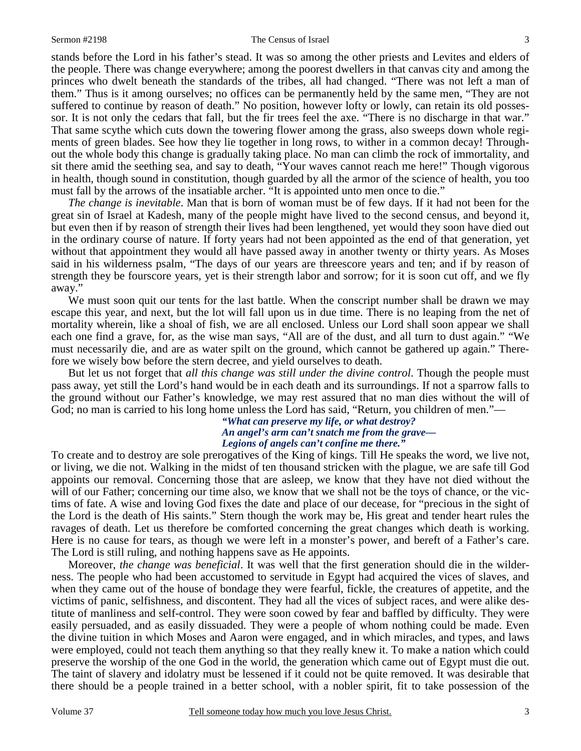#### Sermon #2198 The Census of Israel 3

stands before the Lord in his father's stead. It was so among the other priests and Levites and elders of the people. There was change everywhere; among the poorest dwellers in that canvas city and among the princes who dwelt beneath the standards of the tribes, all had changed. "There was not left a man of them." Thus is it among ourselves; no offices can be permanently held by the same men, "They are not suffered to continue by reason of death." No position, however lofty or lowly, can retain its old possessor. It is not only the cedars that fall, but the fir trees feel the axe. "There is no discharge in that war." That same scythe which cuts down the towering flower among the grass, also sweeps down whole regiments of green blades. See how they lie together in long rows, to wither in a common decay! Throughout the whole body this change is gradually taking place. No man can climb the rock of immortality, and sit there amid the seething sea, and say to death, "Your waves cannot reach me here!" Though vigorous in health, though sound in constitution, though guarded by all the armor of the science of health, you too must fall by the arrows of the insatiable archer. "It is appointed unto men once to die."

*The change is inevitable*. Man that is born of woman must be of few days. If it had not been for the great sin of Israel at Kadesh, many of the people might have lived to the second census, and beyond it, but even then if by reason of strength their lives had been lengthened, yet would they soon have died out in the ordinary course of nature. If forty years had not been appointed as the end of that generation, yet without that appointment they would all have passed away in another twenty or thirty years. As Moses said in his wilderness psalm, "The days of our years are threescore years and ten; and if by reason of strength they be fourscore years, yet is their strength labor and sorrow; for it is soon cut off, and we fly away."

We must soon quit our tents for the last battle. When the conscript number shall be drawn we may escape this year, and next, but the lot will fall upon us in due time. There is no leaping from the net of mortality wherein, like a shoal of fish, we are all enclosed. Unless our Lord shall soon appear we shall each one find a grave, for, as the wise man says, "All are of the dust, and all turn to dust again." "We must necessarily die, and are as water spilt on the ground, which cannot be gathered up again." Therefore we wisely bow before the stern decree, and yield ourselves to death.

 But let us not forget that *all this change was still under the divine control*. Though the people must pass away, yet still the Lord's hand would be in each death and its surroundings. If not a sparrow falls to the ground without our Father's knowledge, we may rest assured that no man dies without the will of God; no man is carried to his long home unless the Lord has said, "Return, you children of men."—

### *"What can preserve my life, or what destroy? An angel's arm can't snatch me from the grave— Legions of angels can't confine me there."*

To create and to destroy are sole prerogatives of the King of kings. Till He speaks the word, we live not, or living, we die not. Walking in the midst of ten thousand stricken with the plague, we are safe till God appoints our removal. Concerning those that are asleep, we know that they have not died without the will of our Father; concerning our time also, we know that we shall not be the toys of chance, or the victims of fate. A wise and loving God fixes the date and place of our decease, for "precious in the sight of the Lord is the death of His saints." Stern though the work may be, His great and tender heart rules the ravages of death. Let us therefore be comforted concerning the great changes which death is working. Here is no cause for tears, as though we were left in a monster's power, and bereft of a Father's care. The Lord is still ruling, and nothing happens save as He appoints.

 Moreover, *the change was beneficial*. It was well that the first generation should die in the wilderness. The people who had been accustomed to servitude in Egypt had acquired the vices of slaves, and when they came out of the house of bondage they were fearful, fickle, the creatures of appetite, and the victims of panic, selfishness, and discontent. They had all the vices of subject races, and were alike destitute of manliness and self-control. They were soon cowed by fear and baffled by difficulty. They were easily persuaded, and as easily dissuaded. They were a people of whom nothing could be made. Even the divine tuition in which Moses and Aaron were engaged, and in which miracles, and types, and laws were employed, could not teach them anything so that they really knew it. To make a nation which could preserve the worship of the one God in the world, the generation which came out of Egypt must die out. The taint of slavery and idolatry must be lessened if it could not be quite removed. It was desirable that there should be a people trained in a better school, with a nobler spirit, fit to take possession of the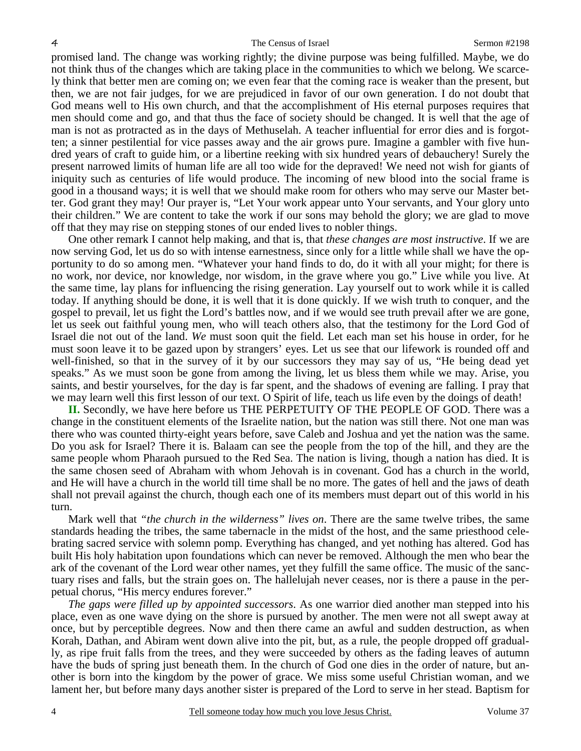promised land. The change was working rightly; the divine purpose was being fulfilled. Maybe, we do not think thus of the changes which are taking place in the communities to which we belong. We scarcely think that better men are coming on; we even fear that the coming race is weaker than the present, but then, we are not fair judges, for we are prejudiced in favor of our own generation. I do not doubt that God means well to His own church, and that the accomplishment of His eternal purposes requires that men should come and go, and that thus the face of society should be changed. It is well that the age of man is not as protracted as in the days of Methuselah. A teacher influential for error dies and is forgotten; a sinner pestilential for vice passes away and the air grows pure. Imagine a gambler with five hundred years of craft to guide him, or a libertine reeking with six hundred years of debauchery! Surely the present narrowed limits of human life are all too wide for the depraved! We need not wish for giants of iniquity such as centuries of life would produce. The incoming of new blood into the social frame is good in a thousand ways; it is well that we should make room for others who may serve our Master better. God grant they may! Our prayer is, "Let Your work appear unto Your servants, and Your glory unto their children." We are content to take the work if our sons may behold the glory; we are glad to move off that they may rise on stepping stones of our ended lives to nobler things.

 One other remark I cannot help making, and that is, that *these changes are most instructive*. If we are now serving God, let us do so with intense earnestness, since only for a little while shall we have the opportunity to do so among men. "Whatever your hand finds to do, do it with all your might; for there is no work, nor device, nor knowledge, nor wisdom, in the grave where you go." Live while you live. At the same time, lay plans for influencing the rising generation. Lay yourself out to work while it is called today. If anything should be done, it is well that it is done quickly. If we wish truth to conquer, and the gospel to prevail, let us fight the Lord's battles now, and if we would see truth prevail after we are gone, let us seek out faithful young men, who will teach others also, that the testimony for the Lord God of Israel die not out of the land. *We* must soon quit the field. Let each man set his house in order, for he must soon leave it to be gazed upon by strangers' eyes. Let us see that our lifework is rounded off and well-finished, so that in the survey of it by our successors they may say of us, "He being dead yet speaks." As we must soon be gone from among the living, let us bless them while we may. Arise, you saints, and bestir yourselves, for the day is far spent, and the shadows of evening are falling. I pray that we may learn well this first lesson of our text. O Spirit of life, teach us life even by the doings of death!

**II.** Secondly, we have here before us THE PERPETUITY OF THE PEOPLE OF GOD. There was a change in the constituent elements of the Israelite nation, but the nation was still there. Not one man was there who was counted thirty-eight years before, save Caleb and Joshua and yet the nation was the same. Do you ask for Israel? There it is. Balaam can see the people from the top of the hill, and they are the same people whom Pharaoh pursued to the Red Sea. The nation is living, though a nation has died. It is the same chosen seed of Abraham with whom Jehovah is in covenant. God has a church in the world, and He will have a church in the world till time shall be no more. The gates of hell and the jaws of death shall not prevail against the church, though each one of its members must depart out of this world in his turn.

 Mark well that *"the church in the wilderness" lives on*. There are the same twelve tribes, the same standards heading the tribes, the same tabernacle in the midst of the host, and the same priesthood celebrating sacred service with solemn pomp. Everything has changed, and yet nothing has altered. God has built His holy habitation upon foundations which can never be removed. Although the men who bear the ark of the covenant of the Lord wear other names, yet they fulfill the same office. The music of the sanctuary rises and falls, but the strain goes on. The hallelujah never ceases, nor is there a pause in the perpetual chorus, "His mercy endures forever."

*The gaps were filled up by appointed successors*. As one warrior died another man stepped into his place, even as one wave dying on the shore is pursued by another. The men were not all swept away at once, but by perceptible degrees. Now and then there came an awful and sudden destruction, as when Korah, Dathan, and Abiram went down alive into the pit, but, as a rule, the people dropped off gradually, as ripe fruit falls from the trees, and they were succeeded by others as the fading leaves of autumn have the buds of spring just beneath them. In the church of God one dies in the order of nature, but another is born into the kingdom by the power of grace. We miss some useful Christian woman, and we lament her, but before many days another sister is prepared of the Lord to serve in her stead. Baptism for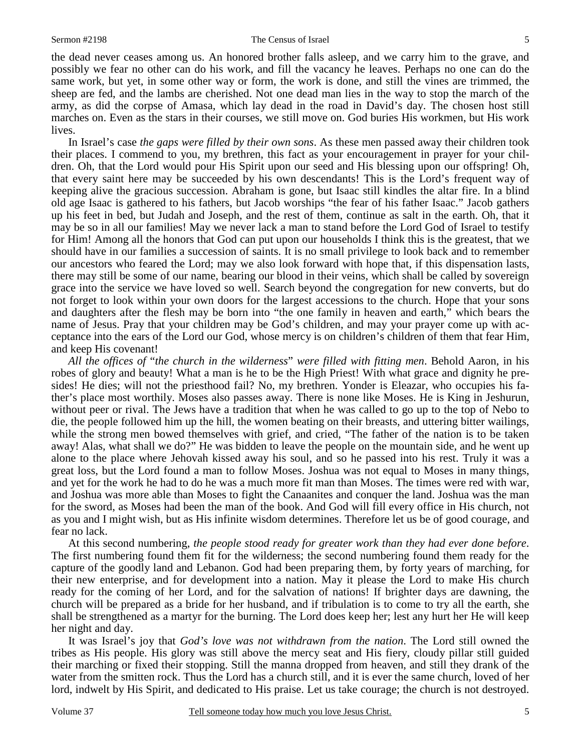the dead never ceases among us. An honored brother falls asleep, and we carry him to the grave, and possibly we fear no other can do his work, and fill the vacancy he leaves. Perhaps no one can do the same work, but yet, in some other way or form, the work is done, and still the vines are trimmed, the sheep are fed, and the lambs are cherished. Not one dead man lies in the way to stop the march of the army, as did the corpse of Amasa, which lay dead in the road in David's day. The chosen host still marches on. Even as the stars in their courses, we still move on. God buries His workmen, but His work lives.

 In Israel's case *the gaps were filled by their own sons*. As these men passed away their children took their places. I commend to you, my brethren, this fact as your encouragement in prayer for your children. Oh, that the Lord would pour His Spirit upon our seed and His blessing upon our offspring! Oh, that every saint here may be succeeded by his own descendants! This is the Lord's frequent way of keeping alive the gracious succession. Abraham is gone, but Isaac still kindles the altar fire. In a blind old age Isaac is gathered to his fathers, but Jacob worships "the fear of his father Isaac." Jacob gathers up his feet in bed, but Judah and Joseph, and the rest of them, continue as salt in the earth. Oh, that it may be so in all our families! May we never lack a man to stand before the Lord God of Israel to testify for Him! Among all the honors that God can put upon our households I think this is the greatest, that we should have in our families a succession of saints. It is no small privilege to look back and to remember our ancestors who feared the Lord; may we also look forward with hope that, if this dispensation lasts, there may still be some of our name, bearing our blood in their veins, which shall be called by sovereign grace into the service we have loved so well. Search beyond the congregation for new converts, but do not forget to look within your own doors for the largest accessions to the church. Hope that your sons and daughters after the flesh may be born into "the one family in heaven and earth," which bears the name of Jesus. Pray that your children may be God's children, and may your prayer come up with acceptance into the ears of the Lord our God, whose mercy is on children's children of them that fear Him, and keep His covenant!

*All the offices of* "*the church in the wilderness*" *were filled with fitting men*. Behold Aaron, in his robes of glory and beauty! What a man is he to be the High Priest! With what grace and dignity he presides! He dies; will not the priesthood fail? No, my brethren. Yonder is Eleazar, who occupies his father's place most worthily. Moses also passes away. There is none like Moses. He is King in Jeshurun, without peer or rival. The Jews have a tradition that when he was called to go up to the top of Nebo to die, the people followed him up the hill, the women beating on their breasts, and uttering bitter wailings, while the strong men bowed themselves with grief, and cried, "The father of the nation is to be taken away! Alas, what shall we do?" He was bidden to leave the people on the mountain side, and he went up alone to the place where Jehovah kissed away his soul, and so he passed into his rest. Truly it was a great loss, but the Lord found a man to follow Moses. Joshua was not equal to Moses in many things, and yet for the work he had to do he was a much more fit man than Moses. The times were red with war, and Joshua was more able than Moses to fight the Canaanites and conquer the land. Joshua was the man for the sword, as Moses had been the man of the book. And God will fill every office in His church, not as you and I might wish, but as His infinite wisdom determines. Therefore let us be of good courage, and fear no lack.

 At this second numbering, *the people stood ready for greater work than they had ever done before*. The first numbering found them fit for the wilderness; the second numbering found them ready for the capture of the goodly land and Lebanon. God had been preparing them, by forty years of marching, for their new enterprise, and for development into a nation. May it please the Lord to make His church ready for the coming of her Lord, and for the salvation of nations! If brighter days are dawning, the church will be prepared as a bride for her husband, and if tribulation is to come to try all the earth, she shall be strengthened as a martyr for the burning. The Lord does keep her; lest any hurt her He will keep her night and day.

 It was Israel's joy that *God's love was not withdrawn from the nation*. The Lord still owned the tribes as His people. His glory was still above the mercy seat and His fiery, cloudy pillar still guided their marching or fixed their stopping. Still the manna dropped from heaven, and still they drank of the water from the smitten rock. Thus the Lord has a church still, and it is ever the same church, loved of her lord, indwelt by His Spirit, and dedicated to His praise. Let us take courage; the church is not destroyed.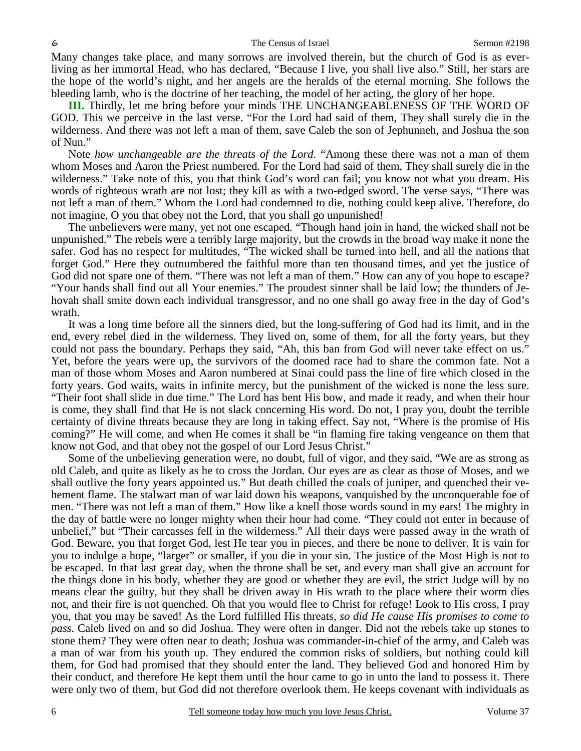#### 6 The Census of Israel Sermon #2198

Many changes take place, and many sorrows are involved therein, but the church of God is as everliving as her immortal Head, who has declared, "Because I live, you shall live also." Still, her stars are the hope of the world's night, and her angels are the heralds of the eternal morning. She follows the bleeding lamb, who is the doctrine of her teaching, the model of her acting, the glory of her hope.

**III.** Thirdly, let me bring before your minds THE UNCHANGEABLENESS OF THE WORD OF GOD. This we perceive in the last verse. "For the Lord had said of them, They shall surely die in the wilderness. And there was not left a man of them, save Caleb the son of Jephunneh, and Joshua the son of Nun."

 Note *how unchangeable are the threats of the Lord*. "Among these there was not a man of them whom Moses and Aaron the Priest numbered. For the Lord had said of them, They shall surely die in the wilderness." Take note of this, you that think God's word can fail; you know not what you dream. His words of righteous wrath are not lost; they kill as with a two-edged sword. The verse says, "There was not left a man of them." Whom the Lord had condemned to die, nothing could keep alive. Therefore, do not imagine, O you that obey not the Lord, that you shall go unpunished!

 The unbelievers were many, yet not one escaped. "Though hand join in hand, the wicked shall not be unpunished." The rebels were a terribly large majority, but the crowds in the broad way make it none the safer. God has no respect for multitudes, "The wicked shall be turned into hell, and all the nations that forget God." Here they outnumbered the faithful more than ten thousand times, and yet the justice of God did not spare one of them. "There was not left a man of them." How can any of you hope to escape? "Your hands shall find out all Your enemies." The proudest sinner shall be laid low; the thunders of Jehovah shall smite down each individual transgressor, and no one shall go away free in the day of God's wrath.

 It was a long time before all the sinners died, but the long-suffering of God had its limit, and in the end, every rebel died in the wilderness. They lived on, some of them, for all the forty years, but they could not pass the boundary. Perhaps they said, "Ah, this ban from God will never take effect on us." Yet, before the years were up, the survivors of the doomed race had to share the common fate. Not a man of those whom Moses and Aaron numbered at Sinai could pass the line of fire which closed in the forty years. God waits, waits in infinite mercy, but the punishment of the wicked is none the less sure. "Their foot shall slide in due time." The Lord has bent His bow, and made it ready, and when their hour is come, they shall find that He is not slack concerning His word. Do not, I pray you, doubt the terrible certainty of divine threats because they are long in taking effect. Say not, "Where is the promise of His coming?" He will come, and when He comes it shall be "in flaming fire taking vengeance on them that know not God, and that obey not the gospel of our Lord Jesus Christ."

 Some of the unbelieving generation were, no doubt, full of vigor, and they said, "We are as strong as old Caleb, and quite as likely as he to cross the Jordan. Our eyes are as clear as those of Moses, and we shall outlive the forty years appointed us." But death chilled the coals of juniper, and quenched their vehement flame. The stalwart man of war laid down his weapons, vanquished by the unconquerable foe of men. "There was not left a man of them." How like a knell those words sound in my ears! The mighty in the day of battle were no longer mighty when their hour had come. "They could not enter in because of unbelief," but "Their carcasses fell in the wilderness." All their days were passed away in the wrath of God. Beware, you that forget God, lest He tear you in pieces, and there be none to deliver. It is vain for you to indulge a hope, "larger" or smaller, if you die in your sin. The justice of the Most High is not to be escaped. In that last great day, when the throne shall be set, and every man shall give an account for the things done in his body, whether they are good or whether they are evil, the strict Judge will by no means clear the guilty, but they shall be driven away in His wrath to the place where their worm dies not, and their fire is not quenched. Oh that you would flee to Christ for refuge! Look to His cross, I pray you, that you may be saved! As the Lord fulfilled His threats, *so did He cause His promises to come to pass*. Caleb lived on and so did Joshua. They were often in danger. Did not the rebels take up stones to stone them? They were often near to death; Joshua was commander-in-chief of the army, and Caleb was a man of war from his youth up. They endured the common risks of soldiers, but nothing could kill them, for God had promised that they should enter the land. They believed God and honored Him by their conduct, and therefore He kept them until the hour came to go in unto the land to possess it. There were only two of them, but God did not therefore overlook them. He keeps covenant with individuals as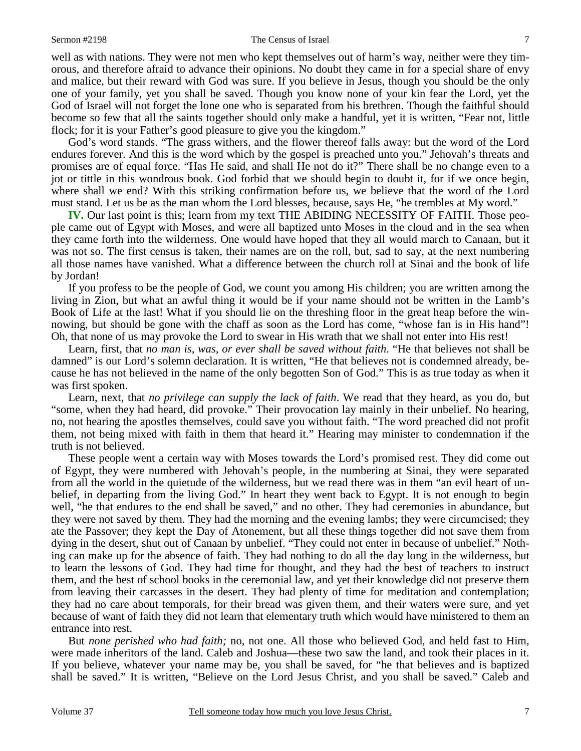#### Sermon #2198 The Census of Israel 7

well as with nations. They were not men who kept themselves out of harm's way, neither were they timorous, and therefore afraid to advance their opinions. No doubt they came in for a special share of envy and malice, but their reward with God was sure. If you believe in Jesus, though you should be the only one of your family, yet you shall be saved. Though you know none of your kin fear the Lord, yet the God of Israel will not forget the lone one who is separated from his brethren. Though the faithful should become so few that all the saints together should only make a handful, yet it is written, "Fear not, little flock; for it is your Father's good pleasure to give you the kingdom."

 God's word stands. "The grass withers, and the flower thereof falls away: but the word of the Lord endures forever. And this is the word which by the gospel is preached unto you." Jehovah's threats and promises are of equal force. "Has He said, and shall He not do it?" There shall be no change even to a jot or tittle in this wondrous book. God forbid that we should begin to doubt it, for if we once begin, where shall we end? With this striking confirmation before us, we believe that the word of the Lord must stand. Let us be as the man whom the Lord blesses, because, says He, "he trembles at My word."

**IV.** Our last point is this; learn from my text THE ABIDING NECESSITY OF FAITH. Those people came out of Egypt with Moses, and were all baptized unto Moses in the cloud and in the sea when they came forth into the wilderness. One would have hoped that they all would march to Canaan, but it was not so. The first census is taken, their names are on the roll, but, sad to say, at the next numbering all those names have vanished. What a difference between the church roll at Sinai and the book of life by Jordan!

 If you profess to be the people of God, we count you among His children; you are written among the living in Zion, but what an awful thing it would be if your name should not be written in the Lamb's Book of Life at the last! What if you should lie on the threshing floor in the great heap before the winnowing, but should be gone with the chaff as soon as the Lord has come, "whose fan is in His hand"! Oh, that none of us may provoke the Lord to swear in His wrath that we shall not enter into His rest!

 Learn, first, that *no man is, was, or ever shall be saved without faith*. "He that believes not shall be damned" is our Lord's solemn declaration. It is written, "He that believes not is condemned already, because he has not believed in the name of the only begotten Son of God." This is as true today as when it was first spoken.

 Learn, next, that *no privilege can supply the lack of faith*. We read that they heard, as you do, but "some, when they had heard, did provoke." Their provocation lay mainly in their unbelief. No hearing, no, not hearing the apostles themselves, could save you without faith. "The word preached did not profit them, not being mixed with faith in them that heard it." Hearing may minister to condemnation if the truth is not believed.

 These people went a certain way with Moses towards the Lord's promised rest. They did come out of Egypt, they were numbered with Jehovah's people, in the numbering at Sinai, they were separated from all the world in the quietude of the wilderness, but we read there was in them "an evil heart of unbelief, in departing from the living God." In heart they went back to Egypt. It is not enough to begin well, "he that endures to the end shall be saved," and no other. They had ceremonies in abundance, but they were not saved by them. They had the morning and the evening lambs; they were circumcised; they ate the Passover; they kept the Day of Atonement, but all these things together did not save them from dying in the desert, shut out of Canaan by unbelief. "They could not enter in because of unbelief." Nothing can make up for the absence of faith. They had nothing to do all the day long in the wilderness, but to learn the lessons of God. They had time for thought, and they had the best of teachers to instruct them, and the best of school books in the ceremonial law, and yet their knowledge did not preserve them from leaving their carcasses in the desert. They had plenty of time for meditation and contemplation; they had no care about temporals, for their bread was given them, and their waters were sure, and yet because of want of faith they did not learn that elementary truth which would have ministered to them an entrance into rest.

 But *none perished who had faith;* no, not one. All those who believed God, and held fast to Him, were made inheritors of the land. Caleb and Joshua—these two saw the land, and took their places in it. If you believe, whatever your name may be, you shall be saved, for "he that believes and is baptized shall be saved." It is written, "Believe on the Lord Jesus Christ, and you shall be saved." Caleb and